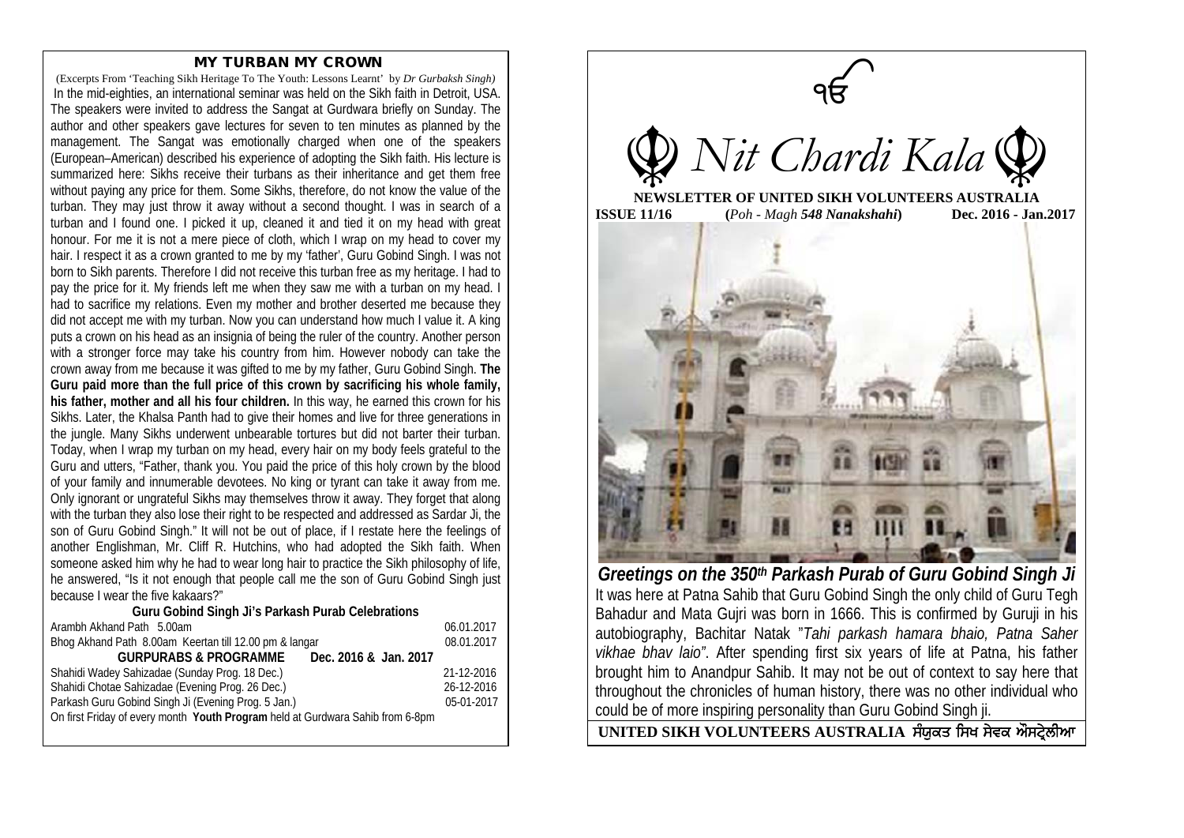## MY TURBAN MY CROWN

(Excerpts From 'Teaching Sikh Heritage To The Youth: Lessons Learnt' by *Dr Gurbaksh Singh)* In the mid-eighties, an international seminar was held on the Sikh faith in Detroit, USA. The speakers were invited to address the Sangat at Gurdwara briefly on Sunday. The author and other speakers gave lectures for seven to ten minutes as planned by the management. The Sangat was emotionally charged when one of the speakers (European–American) described his experience of adopting the Sikh faith. His lecture is summarized here: Sikhs receive their turbans as their inheritance and get them free without paying any price for them. Some Sikhs, therefore, do not know the value of the turban. They may just throw it away without a second thought. I was in search of a turban and I found one. I picked it up, cleaned it and tied it on my head with great honour. For me it is not a mere piece of cloth, which I wrap on my head to cover my hair. I respect it as a crown granted to me by my 'father', Guru Gobind Singh. I was not born to Sikh parents. Therefore I did not receive this turban free as my heritage. I had to pay the price for it. My friends left me when they saw me with a turban on my head. I had to sacrifice my relations. Even my mother and brother deserted me because they did not accept me with my turban. Now you can understand how much I value it. A king puts a crown on his head as an insignia of being the ruler of the country. Another person with a stronger force may take his country from him. However nobody can take the crown away from me because it was gifted to me by my father, Guru Gobind Singh. **The Guru paid more than the full price of this crown by sacrificing his whole family, his father, mother and all his four children.** In this way, he earned this crown for his Sikhs. Later, the Khalsa Panth had to give their homes and live for three generations in the jungle. Many Sikhs underwent unbearable tortures but did not barter their turban. Today, when I wrap my turban on my head, every hair on my body feels grateful to the Guru and utters, "Father, thank you. You paid the price of this holy crown by the blood of your family and innumerable devotees. No king or tyrant can take it away from me. Only ignorant or ungrateful Sikhs may themselves throw it away. They forget that along with the turban they also lose their right to be respected and addressed as Sardar Ji, the son of Guru Gobind Singh." It will not be out of place, if I restate here the feelings of another Englishman, Mr. Cliff R. Hutchins, who had adopted the Sikh faith. When someone asked him why he had to wear long hair to practice the Sikh philosophy of life, he answered, "Is it not enough that people call me the son of Guru Gobind Singh just because I wear the five kakaars?"

## **Guru Gobind Singh Ji's Parkash Purab Celebrations**

| Bhog Akhand Path 8.00am Keertan till 12.00 pm & langar<br>08.01.2017           |  |
|--------------------------------------------------------------------------------|--|
| <b>GURPURABS &amp; PROGRAMME</b><br>Dec. 2016 & Jan. 2017                      |  |
| Shahidi Wadey Sahizadae (Sunday Prog. 18 Dec.)<br>21-12-2016                   |  |
| Shahidi Chotae Sahizadae (Evening Prog. 26 Dec.)<br>26-12-2016                 |  |
| Parkash Guru Gobind Singh Ji (Evening Prog. 5 Jan.)<br>05-01-2017              |  |
| On first Friday of every month Youth Program held at Gurdwara Sahib from 6-8pm |  |



*Greetings on the 350th Parkash Purab of Guru Gobind Singh Ji* It was here at Patna Sahib that Guru Gobind Singh the only child of Guru Tegh Bahadur and Mata Gujri was born in 1666. This is confirmed by Guruji in his autobiography, Bachitar Natak "*Tahi parkash hamara bhaio, Patna Saher vikhae bhav laio"*. After spending first six years of life at Patna, his father brought him to Anandpur Sahib. It may not be out of context to say here that throughout the chronicles of human history, there was no other individual who could be of more inspiring personality than Guru Gobind Singh ji.

UNITED SIKH VOLUNTEERS AUSTRALIA ਸੰਯੁਕਤ ਸਿਖ ਸੇਵਕ ਔਸਟੇਲੀਆ